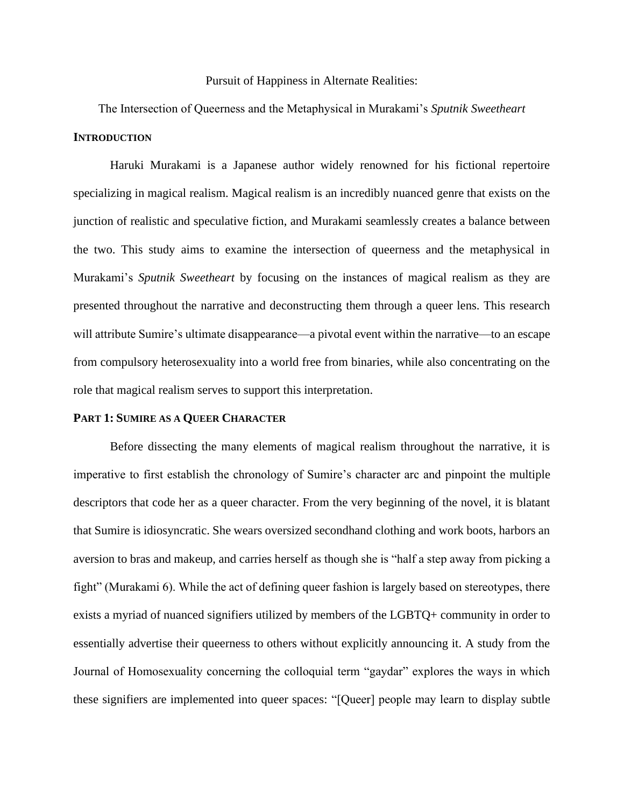#### Pursuit of Happiness in Alternate Realities:

The Intersection of Queerness and the Metaphysical in Murakami's *Sputnik Sweetheart* **INTRODUCTION**

Haruki Murakami is a Japanese author widely renowned for his fictional repertoire specializing in magical realism. Magical realism is an incredibly nuanced genre that exists on the junction of realistic and speculative fiction, and Murakami seamlessly creates a balance between the two. This study aims to examine the intersection of queerness and the metaphysical in Murakami's *Sputnik Sweetheart* by focusing on the instances of magical realism as they are presented throughout the narrative and deconstructing them through a queer lens. This research will attribute Sumire's ultimate disappearance—a pivotal event within the narrative—to an escape from compulsory heterosexuality into a world free from binaries, while also concentrating on the role that magical realism serves to support this interpretation.

#### **PART 1: SUMIRE AS A QUEER CHARACTER**

Before dissecting the many elements of magical realism throughout the narrative, it is imperative to first establish the chronology of Sumire's character arc and pinpoint the multiple descriptors that code her as a queer character. From the very beginning of the novel, it is blatant that Sumire is idiosyncratic. She wears oversized secondhand clothing and work boots, harbors an aversion to bras and makeup, and carries herself as though she is "half a step away from picking a fight" (Murakami 6). While the act of defining queer fashion is largely based on stereotypes, there exists a myriad of nuanced signifiers utilized by members of the LGBTQ+ community in order to essentially advertise their queerness to others without explicitly announcing it. A study from the Journal of Homosexuality concerning the colloquial term "gaydar" explores the ways in which these signifiers are implemented into queer spaces: "[Queer] people may learn to display subtle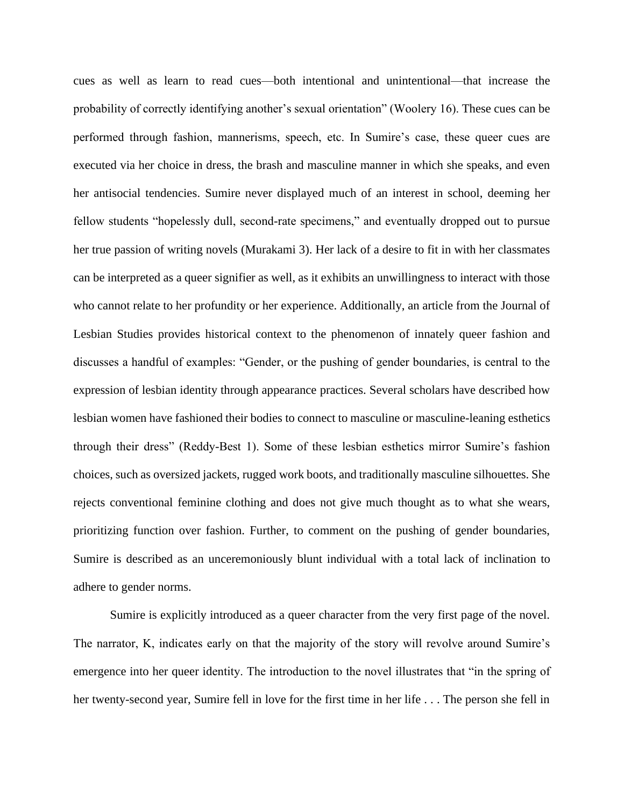cues as well as learn to read cues—both intentional and unintentional—that increase the probability of correctly identifying another's sexual orientation" (Woolery 16). These cues can be performed through fashion, mannerisms, speech, etc. In Sumire's case, these queer cues are executed via her choice in dress, the brash and masculine manner in which she speaks, and even her antisocial tendencies. Sumire never displayed much of an interest in school, deeming her fellow students "hopelessly dull, second-rate specimens," and eventually dropped out to pursue her true passion of writing novels (Murakami 3). Her lack of a desire to fit in with her classmates can be interpreted as a queer signifier as well, as it exhibits an unwillingness to interact with those who cannot relate to her profundity or her experience. Additionally, an article from the Journal of Lesbian Studies provides historical context to the phenomenon of innately queer fashion and discusses a handful of examples: "Gender, or the pushing of gender boundaries, is central to the expression of lesbian identity through appearance practices. Several scholars have described how lesbian women have fashioned their bodies to connect to masculine or masculine-leaning esthetics through their dress" (Reddy-Best 1). Some of these lesbian esthetics mirror Sumire's fashion choices, such as oversized jackets, rugged work boots, and traditionally masculine silhouettes. She rejects conventional feminine clothing and does not give much thought as to what she wears, prioritizing function over fashion. Further, to comment on the pushing of gender boundaries, Sumire is described as an unceremoniously blunt individual with a total lack of inclination to adhere to gender norms.

Sumire is explicitly introduced as a queer character from the very first page of the novel. The narrator, K, indicates early on that the majority of the story will revolve around Sumire's emergence into her queer identity. The introduction to the novel illustrates that "in the spring of her twenty-second year, Sumire fell in love for the first time in her life . . . The person she fell in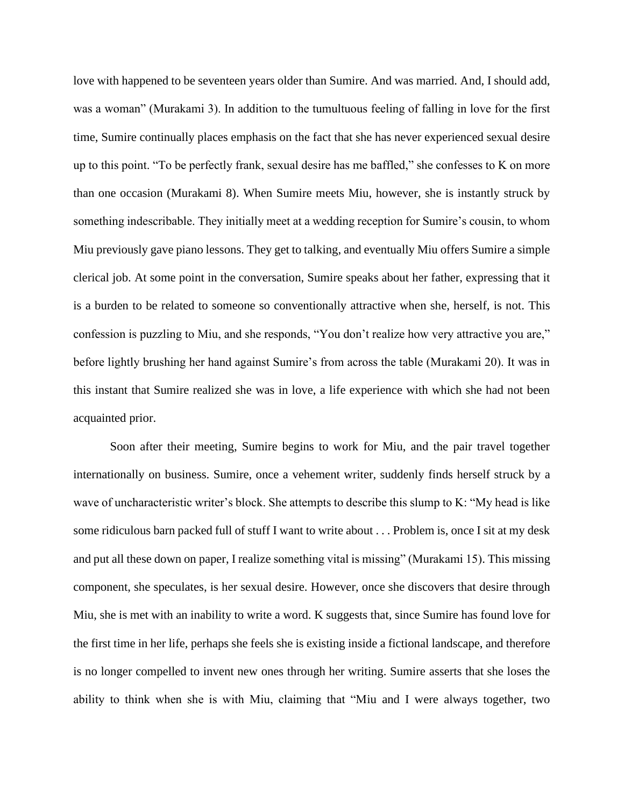love with happened to be seventeen years older than Sumire. And was married. And, I should add, was a woman" (Murakami 3). In addition to the tumultuous feeling of falling in love for the first time, Sumire continually places emphasis on the fact that she has never experienced sexual desire up to this point. "To be perfectly frank, sexual desire has me baffled," she confesses to K on more than one occasion (Murakami 8). When Sumire meets Miu, however, she is instantly struck by something indescribable. They initially meet at a wedding reception for Sumire's cousin, to whom Miu previously gave piano lessons. They get to talking, and eventually Miu offers Sumire a simple clerical job. At some point in the conversation, Sumire speaks about her father, expressing that it is a burden to be related to someone so conventionally attractive when she, herself, is not. This confession is puzzling to Miu, and she responds, "You don't realize how very attractive you are," before lightly brushing her hand against Sumire's from across the table (Murakami 20). It was in this instant that Sumire realized she was in love, a life experience with which she had not been acquainted prior.

Soon after their meeting, Sumire begins to work for Miu, and the pair travel together internationally on business. Sumire, once a vehement writer, suddenly finds herself struck by a wave of uncharacteristic writer's block. She attempts to describe this slump to K: "My head is like some ridiculous barn packed full of stuff I want to write about . . . Problem is, once I sit at my desk and put all these down on paper, I realize something vital is missing" (Murakami 15). This missing component, she speculates, is her sexual desire. However, once she discovers that desire through Miu, she is met with an inability to write a word. K suggests that, since Sumire has found love for the first time in her life, perhaps she feels she is existing inside a fictional landscape, and therefore is no longer compelled to invent new ones through her writing. Sumire asserts that she loses the ability to think when she is with Miu, claiming that "Miu and I were always together, two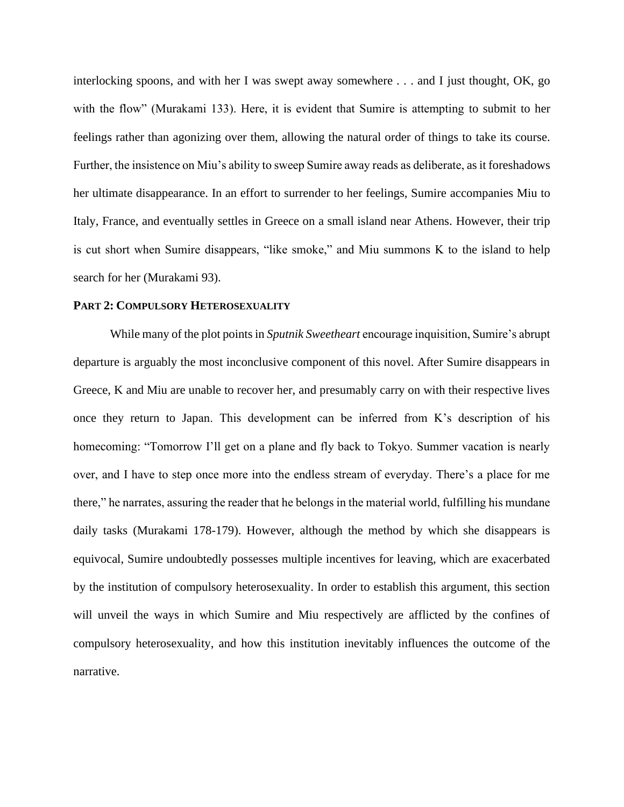interlocking spoons, and with her I was swept away somewhere . . . and I just thought, OK, go with the flow" (Murakami 133). Here, it is evident that Sumire is attempting to submit to her feelings rather than agonizing over them, allowing the natural order of things to take its course. Further, the insistence on Miu's ability to sweep Sumire away reads as deliberate, as it foreshadows her ultimate disappearance. In an effort to surrender to her feelings, Sumire accompanies Miu to Italy, France, and eventually settles in Greece on a small island near Athens. However, their trip is cut short when Sumire disappears, "like smoke," and Miu summons K to the island to help search for her (Murakami 93).

## **PART 2: COMPULSORY HETEROSEXUALITY**

While many of the plot points in *Sputnik Sweetheart* encourage inquisition, Sumire's abrupt departure is arguably the most inconclusive component of this novel. After Sumire disappears in Greece, K and Miu are unable to recover her, and presumably carry on with their respective lives once they return to Japan. This development can be inferred from K's description of his homecoming: "Tomorrow I'll get on a plane and fly back to Tokyo. Summer vacation is nearly over, and I have to step once more into the endless stream of everyday. There's a place for me there," he narrates, assuring the reader that he belongs in the material world, fulfilling his mundane daily tasks (Murakami 178-179). However, although the method by which she disappears is equivocal, Sumire undoubtedly possesses multiple incentives for leaving, which are exacerbated by the institution of compulsory heterosexuality. In order to establish this argument, this section will unveil the ways in which Sumire and Miu respectively are afflicted by the confines of compulsory heterosexuality, and how this institution inevitably influences the outcome of the narrative.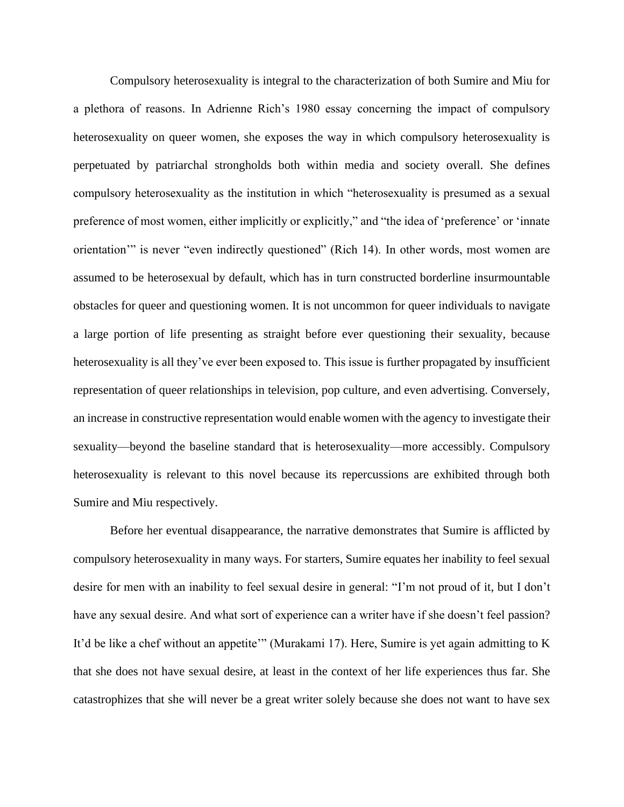Compulsory heterosexuality is integral to the characterization of both Sumire and Miu for a plethora of reasons. In Adrienne Rich's 1980 essay concerning the impact of compulsory heterosexuality on queer women, she exposes the way in which compulsory heterosexuality is perpetuated by patriarchal strongholds both within media and society overall. She defines compulsory heterosexuality as the institution in which "heterosexuality is presumed as a sexual preference of most women, either implicitly or explicitly," and "the idea of 'preference' or 'innate orientation'" is never "even indirectly questioned" (Rich 14). In other words, most women are assumed to be heterosexual by default, which has in turn constructed borderline insurmountable obstacles for queer and questioning women. It is not uncommon for queer individuals to navigate a large portion of life presenting as straight before ever questioning their sexuality, because heterosexuality is all they've ever been exposed to. This issue is further propagated by insufficient representation of queer relationships in television, pop culture, and even advertising. Conversely, an increase in constructive representation would enable women with the agency to investigate their sexuality—beyond the baseline standard that is heterosexuality—more accessibly. Compulsory heterosexuality is relevant to this novel because its repercussions are exhibited through both Sumire and Miu respectively.

Before her eventual disappearance, the narrative demonstrates that Sumire is afflicted by compulsory heterosexuality in many ways. For starters, Sumire equates her inability to feel sexual desire for men with an inability to feel sexual desire in general: "I'm not proud of it, but I don't have any sexual desire. And what sort of experience can a writer have if she doesn't feel passion? It'd be like a chef without an appetite'" (Murakami 17). Here, Sumire is yet again admitting to K that she does not have sexual desire, at least in the context of her life experiences thus far. She catastrophizes that she will never be a great writer solely because she does not want to have sex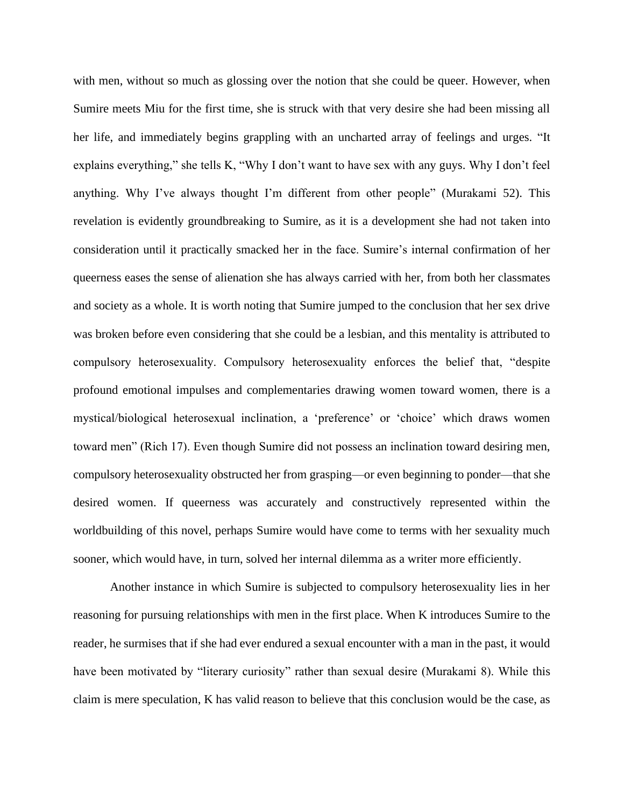with men, without so much as glossing over the notion that she could be queer. However, when Sumire meets Miu for the first time, she is struck with that very desire she had been missing all her life, and immediately begins grappling with an uncharted array of feelings and urges. "It explains everything," she tells K, "Why I don't want to have sex with any guys. Why I don't feel anything. Why I've always thought I'm different from other people" (Murakami 52). This revelation is evidently groundbreaking to Sumire, as it is a development she had not taken into consideration until it practically smacked her in the face. Sumire's internal confirmation of her queerness eases the sense of alienation she has always carried with her, from both her classmates and society as a whole. It is worth noting that Sumire jumped to the conclusion that her sex drive was broken before even considering that she could be a lesbian, and this mentality is attributed to compulsory heterosexuality. Compulsory heterosexuality enforces the belief that, "despite profound emotional impulses and complementaries drawing women toward women, there is a mystical/biological heterosexual inclination, a 'preference' or 'choice' which draws women toward men" (Rich 17). Even though Sumire did not possess an inclination toward desiring men, compulsory heterosexuality obstructed her from grasping—or even beginning to ponder—that she desired women. If queerness was accurately and constructively represented within the worldbuilding of this novel, perhaps Sumire would have come to terms with her sexuality much sooner, which would have, in turn, solved her internal dilemma as a writer more efficiently.

Another instance in which Sumire is subjected to compulsory heterosexuality lies in her reasoning for pursuing relationships with men in the first place. When K introduces Sumire to the reader, he surmises that if she had ever endured a sexual encounter with a man in the past, it would have been motivated by "literary curiosity" rather than sexual desire (Murakami 8). While this claim is mere speculation, K has valid reason to believe that this conclusion would be the case, as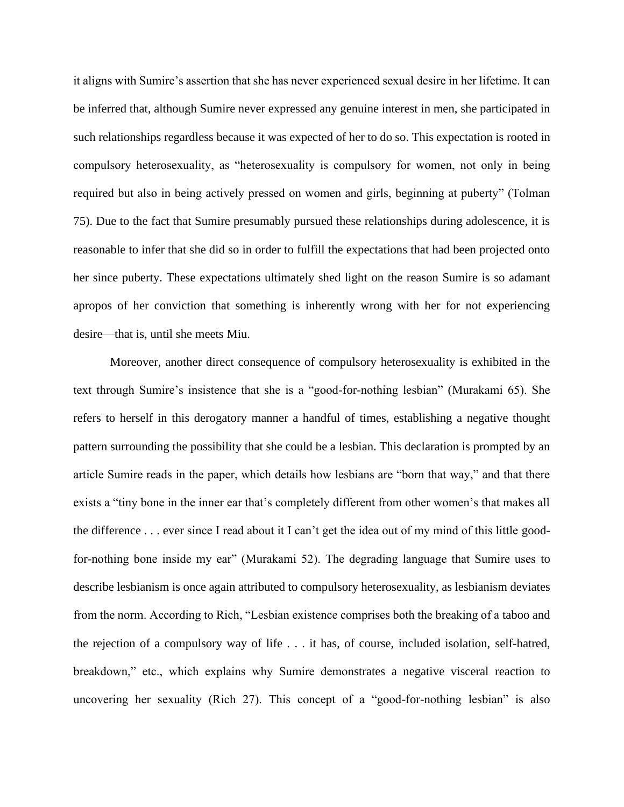it aligns with Sumire's assertion that she has never experienced sexual desire in her lifetime. It can be inferred that, although Sumire never expressed any genuine interest in men, she participated in such relationships regardless because it was expected of her to do so. This expectation is rooted in compulsory heterosexuality, as "heterosexuality is compulsory for women, not only in being required but also in being actively pressed on women and girls, beginning at puberty" (Tolman 75). Due to the fact that Sumire presumably pursued these relationships during adolescence, it is reasonable to infer that she did so in order to fulfill the expectations that had been projected onto her since puberty. These expectations ultimately shed light on the reason Sumire is so adamant apropos of her conviction that something is inherently wrong with her for not experiencing desire—that is, until she meets Miu.

Moreover, another direct consequence of compulsory heterosexuality is exhibited in the text through Sumire's insistence that she is a "good-for-nothing lesbian" (Murakami 65). She refers to herself in this derogatory manner a handful of times, establishing a negative thought pattern surrounding the possibility that she could be a lesbian. This declaration is prompted by an article Sumire reads in the paper, which details how lesbians are "born that way," and that there exists a "tiny bone in the inner ear that's completely different from other women's that makes all the difference . . . ever since I read about it I can't get the idea out of my mind of this little goodfor-nothing bone inside my ear" (Murakami 52). The degrading language that Sumire uses to describe lesbianism is once again attributed to compulsory heterosexuality, as lesbianism deviates from the norm. According to Rich, "Lesbian existence comprises both the breaking of a taboo and the rejection of a compulsory way of life . . . it has, of course, included isolation, self-hatred, breakdown," etc., which explains why Sumire demonstrates a negative visceral reaction to uncovering her sexuality (Rich 27). This concept of a "good-for-nothing lesbian" is also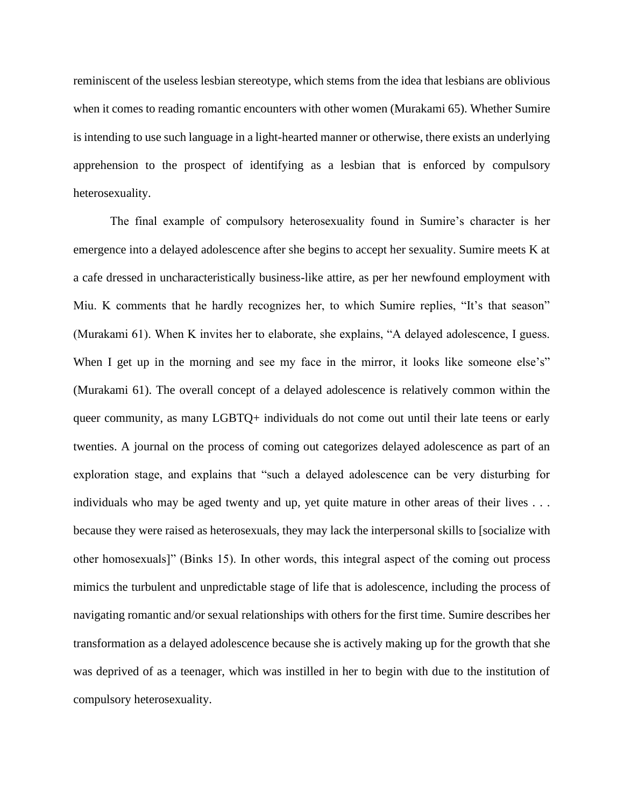reminiscent of the useless lesbian stereotype, which stems from the idea that lesbians are oblivious when it comes to reading romantic encounters with other women (Murakami 65). Whether Sumire is intending to use such language in a light-hearted manner or otherwise, there exists an underlying apprehension to the prospect of identifying as a lesbian that is enforced by compulsory heterosexuality.

The final example of compulsory heterosexuality found in Sumire's character is her emergence into a delayed adolescence after she begins to accept her sexuality. Sumire meets K at a cafe dressed in uncharacteristically business-like attire, as per her newfound employment with Miu. K comments that he hardly recognizes her, to which Sumire replies, "It's that season" (Murakami 61). When K invites her to elaborate, she explains, "A delayed adolescence, I guess. When I get up in the morning and see my face in the mirror, it looks like someone else's" (Murakami 61). The overall concept of a delayed adolescence is relatively common within the queer community, as many LGBTQ+ individuals do not come out until their late teens or early twenties. A journal on the process of coming out categorizes delayed adolescence as part of an exploration stage, and explains that "such a delayed adolescence can be very disturbing for individuals who may be aged twenty and up, yet quite mature in other areas of their lives . . . because they were raised as heterosexuals, they may lack the interpersonal skills to [socialize with other homosexuals]" (Binks 15). In other words, this integral aspect of the coming out process mimics the turbulent and unpredictable stage of life that is adolescence, including the process of navigating romantic and/or sexual relationships with others for the first time. Sumire describes her transformation as a delayed adolescence because she is actively making up for the growth that she was deprived of as a teenager, which was instilled in her to begin with due to the institution of compulsory heterosexuality.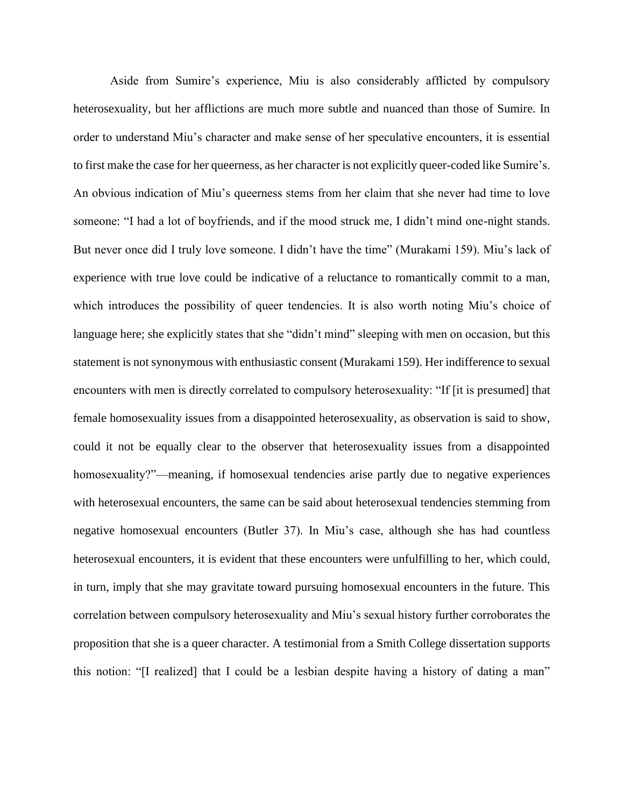Aside from Sumire's experience, Miu is also considerably afflicted by compulsory heterosexuality, but her afflictions are much more subtle and nuanced than those of Sumire. In order to understand Miu's character and make sense of her speculative encounters, it is essential to first make the case for her queerness, as her character is not explicitly queer-coded like Sumire's. An obvious indication of Miu's queerness stems from her claim that she never had time to love someone: "I had a lot of boyfriends, and if the mood struck me, I didn't mind one-night stands. But never once did I truly love someone. I didn't have the time" (Murakami 159). Miu's lack of experience with true love could be indicative of a reluctance to romantically commit to a man, which introduces the possibility of queer tendencies. It is also worth noting Miu's choice of language here; she explicitly states that she "didn't mind" sleeping with men on occasion, but this statement is not synonymous with enthusiastic consent (Murakami 159). Her indifference to sexual encounters with men is directly correlated to compulsory heterosexuality: "If [it is presumed] that female homosexuality issues from a disappointed heterosexuality, as observation is said to show, could it not be equally clear to the observer that heterosexuality issues from a disappointed homosexuality?"—meaning, if homosexual tendencies arise partly due to negative experiences with heterosexual encounters, the same can be said about heterosexual tendencies stemming from negative homosexual encounters (Butler 37). In Miu's case, although she has had countless heterosexual encounters, it is evident that these encounters were unfulfilling to her, which could, in turn, imply that she may gravitate toward pursuing homosexual encounters in the future. This correlation between compulsory heterosexuality and Miu's sexual history further corroborates the proposition that she is a queer character. A testimonial from a Smith College dissertation supports this notion: "[I realized] that I could be a lesbian despite having a history of dating a man"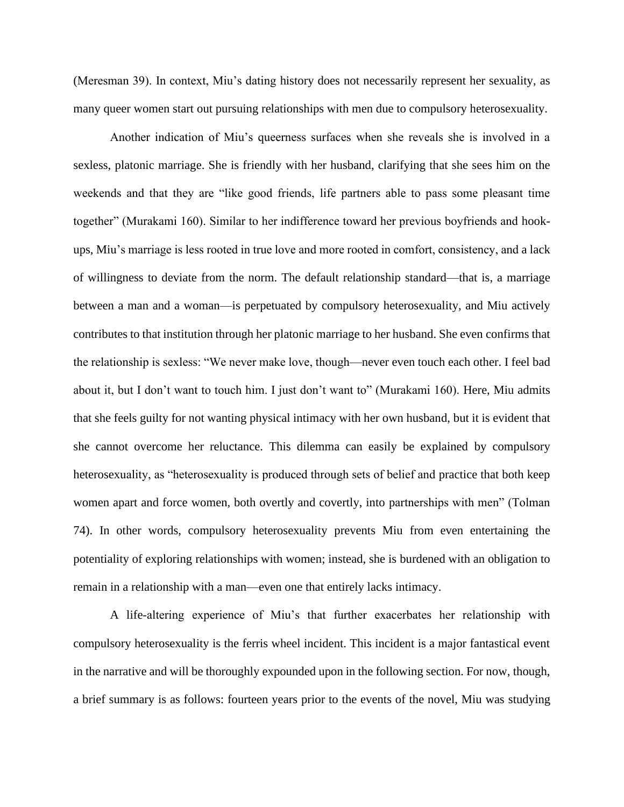(Meresman 39). In context, Miu's dating history does not necessarily represent her sexuality, as many queer women start out pursuing relationships with men due to compulsory heterosexuality.

Another indication of Miu's queerness surfaces when she reveals she is involved in a sexless, platonic marriage. She is friendly with her husband, clarifying that she sees him on the weekends and that they are "like good friends, life partners able to pass some pleasant time together" (Murakami 160). Similar to her indifference toward her previous boyfriends and hookups, Miu's marriage is less rooted in true love and more rooted in comfort, consistency, and a lack of willingness to deviate from the norm. The default relationship standard—that is, a marriage between a man and a woman—is perpetuated by compulsory heterosexuality, and Miu actively contributes to that institution through her platonic marriage to her husband. She even confirms that the relationship is sexless: "We never make love, though—never even touch each other. I feel bad about it, but I don't want to touch him. I just don't want to" (Murakami 160). Here, Miu admits that she feels guilty for not wanting physical intimacy with her own husband, but it is evident that she cannot overcome her reluctance. This dilemma can easily be explained by compulsory heterosexuality, as "heterosexuality is produced through sets of belief and practice that both keep women apart and force women, both overtly and covertly, into partnerships with men" (Tolman 74). In other words, compulsory heterosexuality prevents Miu from even entertaining the potentiality of exploring relationships with women; instead, she is burdened with an obligation to remain in a relationship with a man—even one that entirely lacks intimacy.

A life-altering experience of Miu's that further exacerbates her relationship with compulsory heterosexuality is the ferris wheel incident. This incident is a major fantastical event in the narrative and will be thoroughly expounded upon in the following section. For now, though, a brief summary is as follows: fourteen years prior to the events of the novel, Miu was studying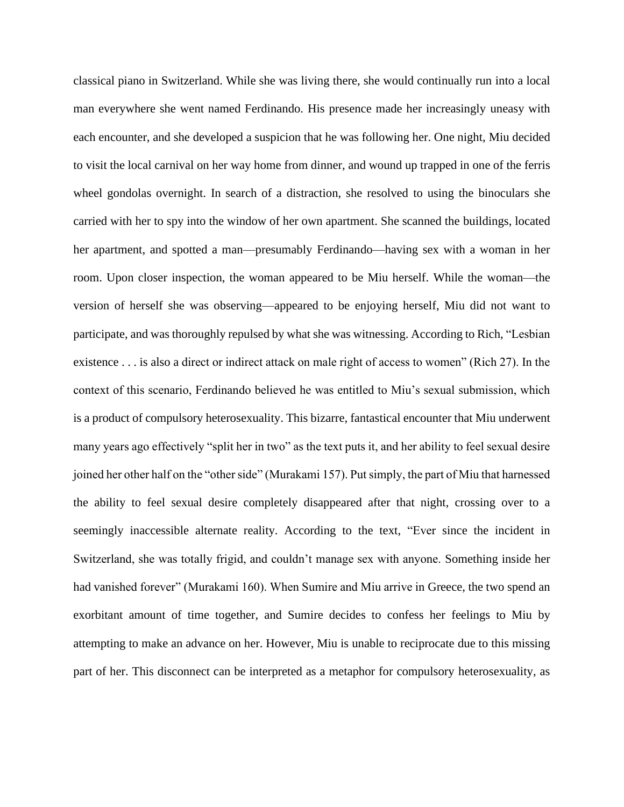classical piano in Switzerland. While she was living there, she would continually run into a local man everywhere she went named Ferdinando. His presence made her increasingly uneasy with each encounter, and she developed a suspicion that he was following her. One night, Miu decided to visit the local carnival on her way home from dinner, and wound up trapped in one of the ferris wheel gondolas overnight. In search of a distraction, she resolved to using the binoculars she carried with her to spy into the window of her own apartment. She scanned the buildings, located her apartment, and spotted a man—presumably Ferdinando—having sex with a woman in her room. Upon closer inspection, the woman appeared to be Miu herself. While the woman—the version of herself she was observing—appeared to be enjoying herself, Miu did not want to participate, and was thoroughly repulsed by what she was witnessing. According to Rich, "Lesbian existence . . . is also a direct or indirect attack on male right of access to women" (Rich 27). In the context of this scenario, Ferdinando believed he was entitled to Miu's sexual submission, which is a product of compulsory heterosexuality. This bizarre, fantastical encounter that Miu underwent many years ago effectively "split her in two" as the text puts it, and her ability to feel sexual desire joined her other half on the "other side" (Murakami 157). Put simply, the part of Miu that harnessed the ability to feel sexual desire completely disappeared after that night, crossing over to a seemingly inaccessible alternate reality. According to the text, "Ever since the incident in Switzerland, she was totally frigid, and couldn't manage sex with anyone. Something inside her had vanished forever" (Murakami 160). When Sumire and Miu arrive in Greece, the two spend an exorbitant amount of time together, and Sumire decides to confess her feelings to Miu by attempting to make an advance on her. However, Miu is unable to reciprocate due to this missing part of her. This disconnect can be interpreted as a metaphor for compulsory heterosexuality, as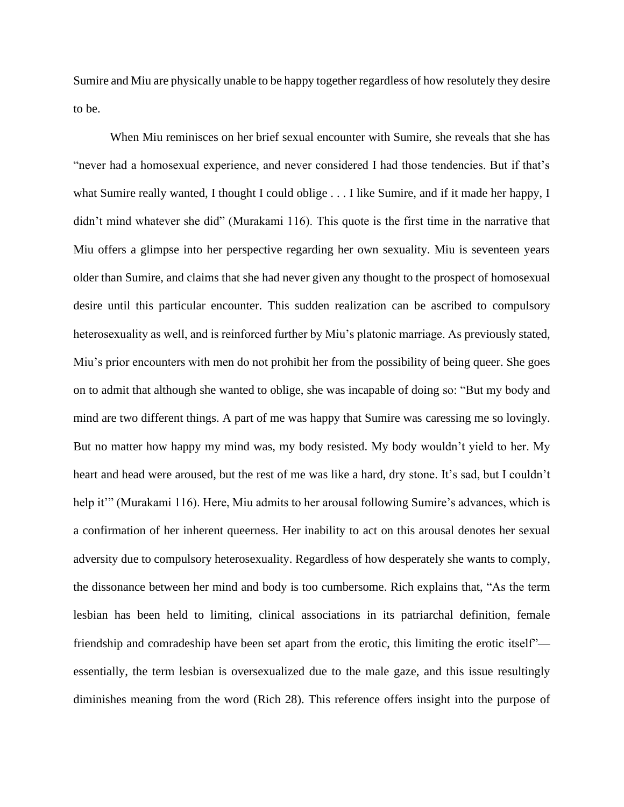Sumire and Miu are physically unable to be happy together regardless of how resolutely they desire to be.

When Miu reminisces on her brief sexual encounter with Sumire, she reveals that she has "never had a homosexual experience, and never considered I had those tendencies. But if that's what Sumire really wanted, I thought I could oblige . . . I like Sumire, and if it made her happy, I didn't mind whatever she did" (Murakami 116). This quote is the first time in the narrative that Miu offers a glimpse into her perspective regarding her own sexuality. Miu is seventeen years older than Sumire, and claims that she had never given any thought to the prospect of homosexual desire until this particular encounter. This sudden realization can be ascribed to compulsory heterosexuality as well, and is reinforced further by Miu's platonic marriage. As previously stated, Miu's prior encounters with men do not prohibit her from the possibility of being queer. She goes on to admit that although she wanted to oblige, she was incapable of doing so: "But my body and mind are two different things. A part of me was happy that Sumire was caressing me so lovingly. But no matter how happy my mind was, my body resisted. My body wouldn't yield to her. My heart and head were aroused, but the rest of me was like a hard, dry stone. It's sad, but I couldn't help it"" (Murakami 116). Here, Miu admits to her arousal following Sumire's advances, which is a confirmation of her inherent queerness. Her inability to act on this arousal denotes her sexual adversity due to compulsory heterosexuality. Regardless of how desperately she wants to comply, the dissonance between her mind and body is too cumbersome. Rich explains that, "As the term lesbian has been held to limiting, clinical associations in its patriarchal definition, female friendship and comradeship have been set apart from the erotic, this limiting the erotic itself" essentially, the term lesbian is oversexualized due to the male gaze, and this issue resultingly diminishes meaning from the word (Rich 28). This reference offers insight into the purpose of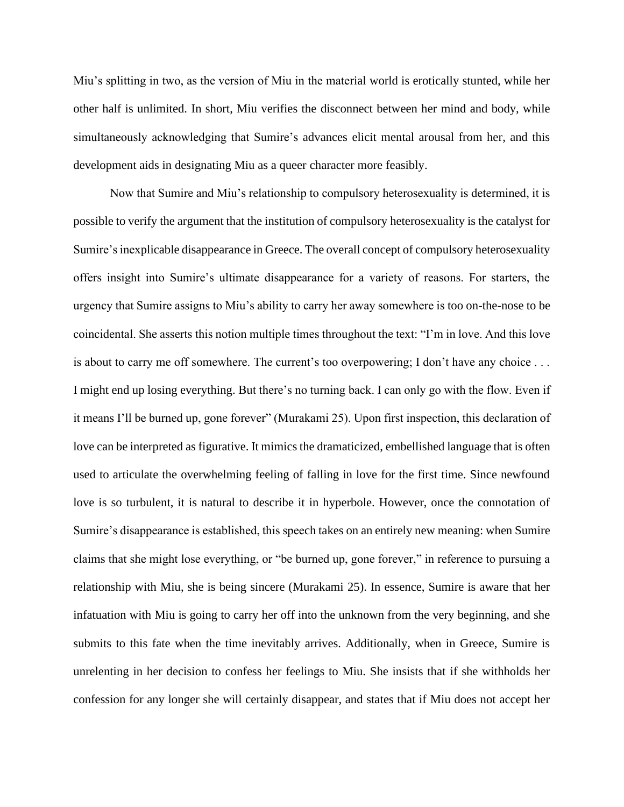Miu's splitting in two, as the version of Miu in the material world is erotically stunted, while her other half is unlimited. In short, Miu verifies the disconnect between her mind and body, while simultaneously acknowledging that Sumire's advances elicit mental arousal from her, and this development aids in designating Miu as a queer character more feasibly.

Now that Sumire and Miu's relationship to compulsory heterosexuality is determined, it is possible to verify the argument that the institution of compulsory heterosexuality is the catalyst for Sumire's inexplicable disappearance in Greece. The overall concept of compulsory heterosexuality offers insight into Sumire's ultimate disappearance for a variety of reasons. For starters, the urgency that Sumire assigns to Miu's ability to carry her away somewhere is too on-the-nose to be coincidental. She asserts this notion multiple times throughout the text: "I'm in love. And this love is about to carry me off somewhere. The current's too overpowering; I don't have any choice . . . I might end up losing everything. But there's no turning back. I can only go with the flow. Even if it means I'll be burned up, gone forever" (Murakami 25). Upon first inspection, this declaration of love can be interpreted as figurative. It mimics the dramaticized, embellished language that is often used to articulate the overwhelming feeling of falling in love for the first time. Since newfound love is so turbulent, it is natural to describe it in hyperbole. However, once the connotation of Sumire's disappearance is established, this speech takes on an entirely new meaning: when Sumire claims that she might lose everything, or "be burned up, gone forever," in reference to pursuing a relationship with Miu, she is being sincere (Murakami 25). In essence, Sumire is aware that her infatuation with Miu is going to carry her off into the unknown from the very beginning, and she submits to this fate when the time inevitably arrives. Additionally, when in Greece, Sumire is unrelenting in her decision to confess her feelings to Miu. She insists that if she withholds her confession for any longer she will certainly disappear, and states that if Miu does not accept her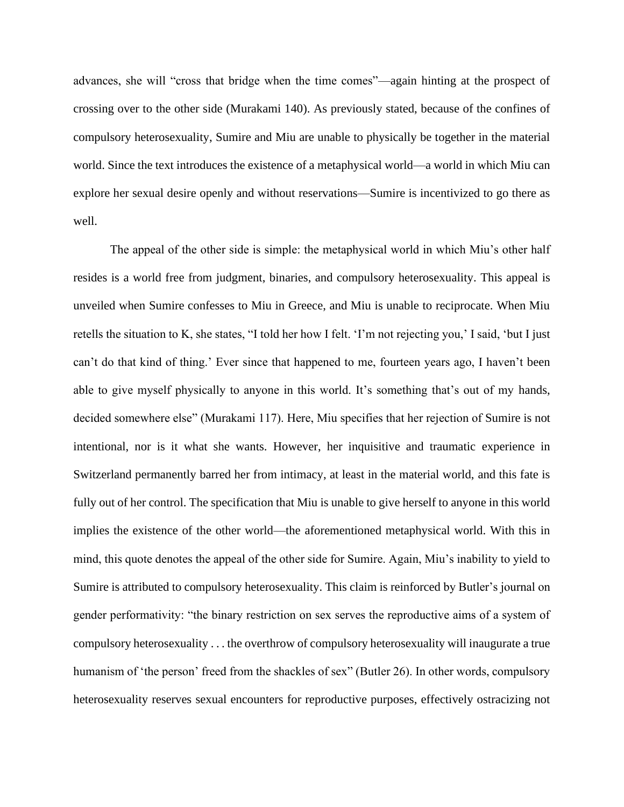advances, she will "cross that bridge when the time comes"—again hinting at the prospect of crossing over to the other side (Murakami 140). As previously stated, because of the confines of compulsory heterosexuality, Sumire and Miu are unable to physically be together in the material world. Since the text introduces the existence of a metaphysical world—a world in which Miu can explore her sexual desire openly and without reservations—Sumire is incentivized to go there as well.

The appeal of the other side is simple: the metaphysical world in which Miu's other half resides is a world free from judgment, binaries, and compulsory heterosexuality. This appeal is unveiled when Sumire confesses to Miu in Greece, and Miu is unable to reciprocate. When Miu retells the situation to K, she states, "I told her how I felt. 'I'm not rejecting you,' I said, 'but I just can't do that kind of thing.' Ever since that happened to me, fourteen years ago, I haven't been able to give myself physically to anyone in this world. It's something that's out of my hands, decided somewhere else" (Murakami 117). Here, Miu specifies that her rejection of Sumire is not intentional, nor is it what she wants. However, her inquisitive and traumatic experience in Switzerland permanently barred her from intimacy, at least in the material world, and this fate is fully out of her control. The specification that Miu is unable to give herself to anyone in this world implies the existence of the other world—the aforementioned metaphysical world. With this in mind, this quote denotes the appeal of the other side for Sumire. Again, Miu's inability to yield to Sumire is attributed to compulsory heterosexuality. This claim is reinforced by Butler's journal on gender performativity: "the binary restriction on sex serves the reproductive aims of a system of compulsory heterosexuality . . . the overthrow of compulsory heterosexuality will inaugurate a true humanism of 'the person' freed from the shackles of sex" (Butler 26). In other words, compulsory heterosexuality reserves sexual encounters for reproductive purposes, effectively ostracizing not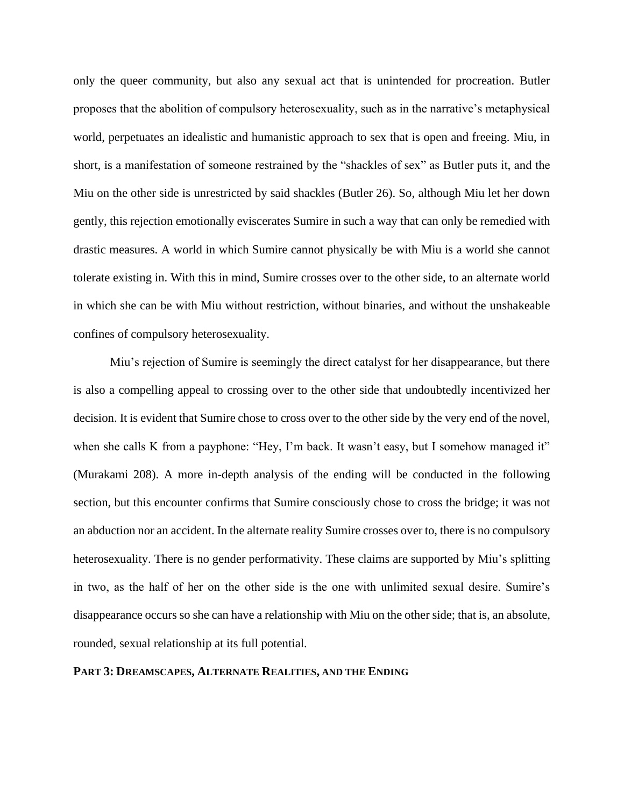only the queer community, but also any sexual act that is unintended for procreation. Butler proposes that the abolition of compulsory heterosexuality, such as in the narrative's metaphysical world, perpetuates an idealistic and humanistic approach to sex that is open and freeing. Miu, in short, is a manifestation of someone restrained by the "shackles of sex" as Butler puts it, and the Miu on the other side is unrestricted by said shackles (Butler 26). So, although Miu let her down gently, this rejection emotionally eviscerates Sumire in such a way that can only be remedied with drastic measures. A world in which Sumire cannot physically be with Miu is a world she cannot tolerate existing in. With this in mind, Sumire crosses over to the other side, to an alternate world in which she can be with Miu without restriction, without binaries, and without the unshakeable confines of compulsory heterosexuality.

Miu's rejection of Sumire is seemingly the direct catalyst for her disappearance, but there is also a compelling appeal to crossing over to the other side that undoubtedly incentivized her decision. It is evident that Sumire chose to cross over to the other side by the very end of the novel, when she calls K from a payphone: "Hey, I'm back. It wasn't easy, but I somehow managed it" (Murakami 208). A more in-depth analysis of the ending will be conducted in the following section, but this encounter confirms that Sumire consciously chose to cross the bridge; it was not an abduction nor an accident. In the alternate reality Sumire crosses over to, there is no compulsory heterosexuality. There is no gender performativity. These claims are supported by Miu's splitting in two, as the half of her on the other side is the one with unlimited sexual desire. Sumire's disappearance occurs so she can have a relationship with Miu on the other side; that is, an absolute, rounded, sexual relationship at its full potential.

# **PART 3: DREAMSCAPES, ALTERNATE REALITIES, AND THE ENDING**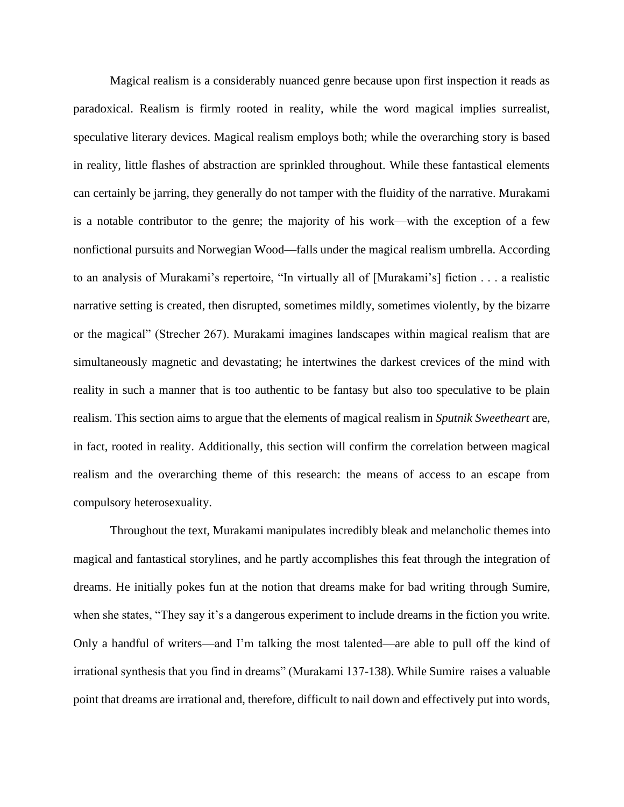Magical realism is a considerably nuanced genre because upon first inspection it reads as paradoxical. Realism is firmly rooted in reality, while the word magical implies surrealist, speculative literary devices. Magical realism employs both; while the overarching story is based in reality, little flashes of abstraction are sprinkled throughout. While these fantastical elements can certainly be jarring, they generally do not tamper with the fluidity of the narrative. Murakami is a notable contributor to the genre; the majority of his work—with the exception of a few nonfictional pursuits and Norwegian Wood—falls under the magical realism umbrella. According to an analysis of Murakami's repertoire, "In virtually all of [Murakami's] fiction . . . a realistic narrative setting is created, then disrupted, sometimes mildly, sometimes violently, by the bizarre or the magical" (Strecher 267). Murakami imagines landscapes within magical realism that are simultaneously magnetic and devastating; he intertwines the darkest crevices of the mind with reality in such a manner that is too authentic to be fantasy but also too speculative to be plain realism. This section aims to argue that the elements of magical realism in *Sputnik Sweetheart* are, in fact, rooted in reality. Additionally, this section will confirm the correlation between magical realism and the overarching theme of this research: the means of access to an escape from compulsory heterosexuality.

Throughout the text, Murakami manipulates incredibly bleak and melancholic themes into magical and fantastical storylines, and he partly accomplishes this feat through the integration of dreams. He initially pokes fun at the notion that dreams make for bad writing through Sumire, when she states, "They say it's a dangerous experiment to include dreams in the fiction you write. Only a handful of writers—and I'm talking the most talented—are able to pull off the kind of irrational synthesis that you find in dreams" (Murakami 137-138). While Sumire raises a valuable point that dreams are irrational and, therefore, difficult to nail down and effectively put into words,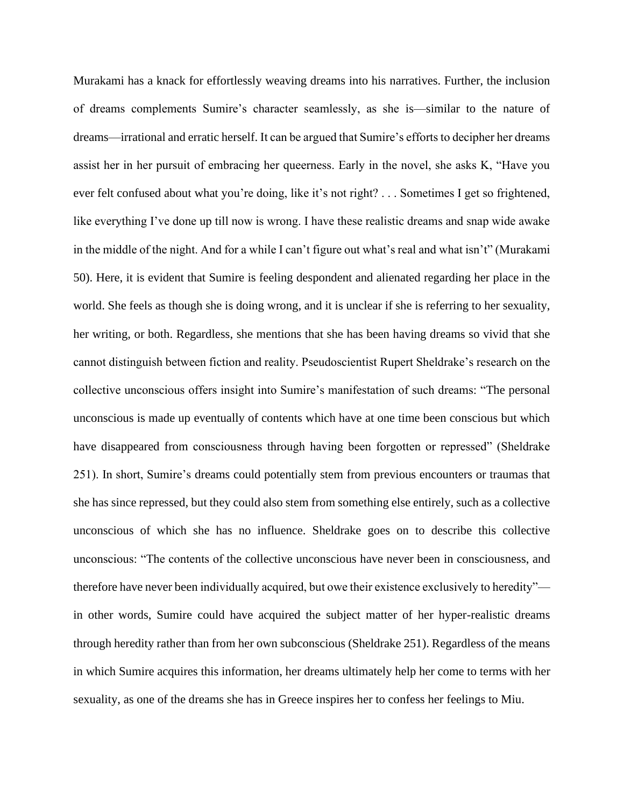Murakami has a knack for effortlessly weaving dreams into his narratives. Further, the inclusion of dreams complements Sumire's character seamlessly, as she is—similar to the nature of dreams—irrational and erratic herself. It can be argued that Sumire's efforts to decipher her dreams assist her in her pursuit of embracing her queerness. Early in the novel, she asks K, "Have you ever felt confused about what you're doing, like it's not right? . . . Sometimes I get so frightened, like everything I've done up till now is wrong. I have these realistic dreams and snap wide awake in the middle of the night. And for a while I can't figure out what's real and what isn't" (Murakami 50). Here, it is evident that Sumire is feeling despondent and alienated regarding her place in the world. She feels as though she is doing wrong, and it is unclear if she is referring to her sexuality, her writing, or both. Regardless, she mentions that she has been having dreams so vivid that she cannot distinguish between fiction and reality. Pseudoscientist Rupert Sheldrake's research on the collective unconscious offers insight into Sumire's manifestation of such dreams: "The personal unconscious is made up eventually of contents which have at one time been conscious but which have disappeared from consciousness through having been forgotten or repressed" (Sheldrake 251). In short, Sumire's dreams could potentially stem from previous encounters or traumas that she has since repressed, but they could also stem from something else entirely, such as a collective unconscious of which she has no influence. Sheldrake goes on to describe this collective unconscious: "The contents of the collective unconscious have never been in consciousness, and therefore have never been individually acquired, but owe their existence exclusively to heredity" in other words, Sumire could have acquired the subject matter of her hyper-realistic dreams through heredity rather than from her own subconscious (Sheldrake 251). Regardless of the means in which Sumire acquires this information, her dreams ultimately help her come to terms with her sexuality, as one of the dreams she has in Greece inspires her to confess her feelings to Miu.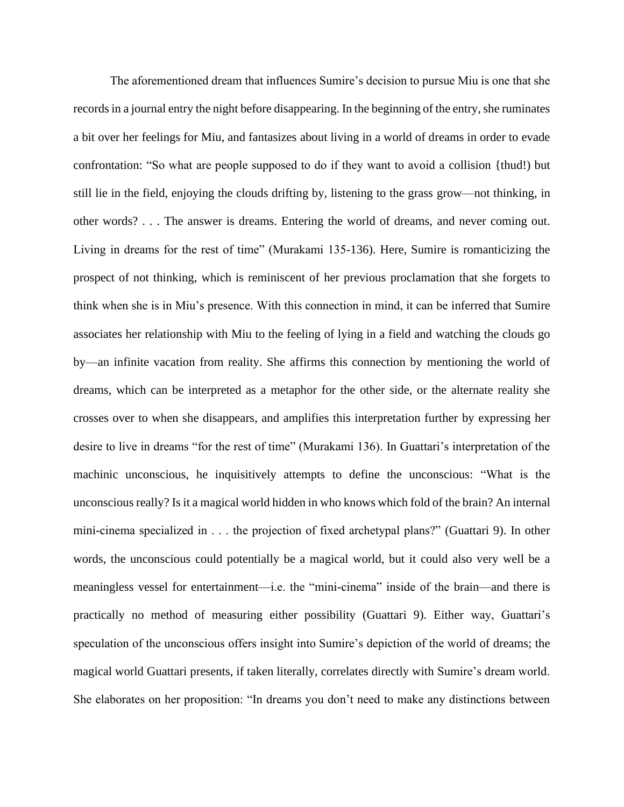The aforementioned dream that influences Sumire's decision to pursue Miu is one that she records in a journal entry the night before disappearing. In the beginning of the entry, she ruminates a bit over her feelings for Miu, and fantasizes about living in a world of dreams in order to evade confrontation: "So what are people supposed to do if they want to avoid a collision {thud!) but still lie in the field, enjoying the clouds drifting by, listening to the grass grow—not thinking, in other words? . . . The answer is dreams. Entering the world of dreams, and never coming out. Living in dreams for the rest of time" (Murakami 135-136). Here, Sumire is romanticizing the prospect of not thinking, which is reminiscent of her previous proclamation that she forgets to think when she is in Miu's presence. With this connection in mind, it can be inferred that Sumire associates her relationship with Miu to the feeling of lying in a field and watching the clouds go by—an infinite vacation from reality. She affirms this connection by mentioning the world of dreams, which can be interpreted as a metaphor for the other side, or the alternate reality she crosses over to when she disappears, and amplifies this interpretation further by expressing her desire to live in dreams "for the rest of time" (Murakami 136). In Guattari's interpretation of the machinic unconscious, he inquisitively attempts to define the unconscious: "What is the unconscious really? Is it a magical world hidden in who knows which fold of the brain? An internal mini-cinema specialized in . . . the projection of fixed archetypal plans?" (Guattari 9). In other words, the unconscious could potentially be a magical world, but it could also very well be a meaningless vessel for entertainment—i.e. the "mini-cinema" inside of the brain—and there is practically no method of measuring either possibility (Guattari 9). Either way, Guattari's speculation of the unconscious offers insight into Sumire's depiction of the world of dreams; the magical world Guattari presents, if taken literally, correlates directly with Sumire's dream world. She elaborates on her proposition: "In dreams you don't need to make any distinctions between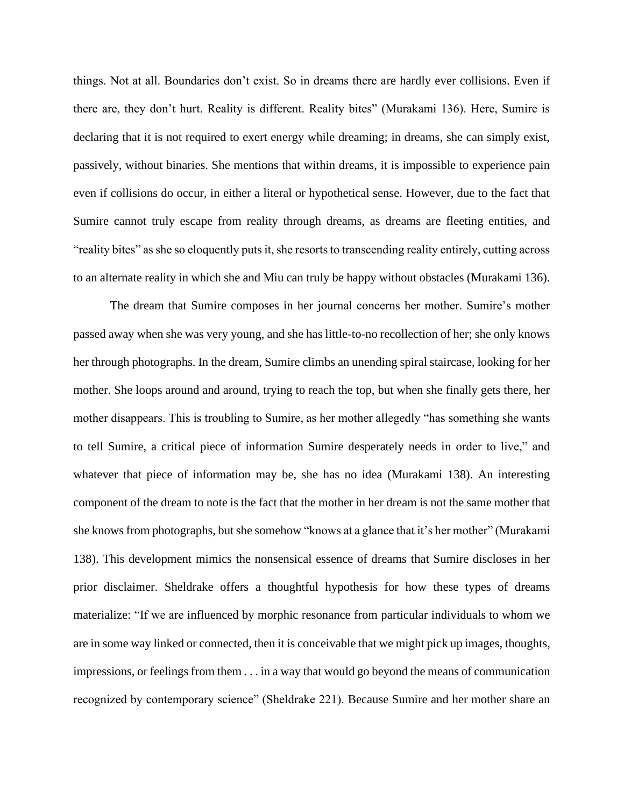things. Not at all. Boundaries don't exist. So in dreams there are hardly ever collisions. Even if there are, they don't hurt. Reality is different. Reality bites" (Murakami 136). Here, Sumire is declaring that it is not required to exert energy while dreaming; in dreams, she can simply exist, passively, without binaries. She mentions that within dreams, it is impossible to experience pain even if collisions do occur, in either a literal or hypothetical sense. However, due to the fact that Sumire cannot truly escape from reality through dreams, as dreams are fleeting entities, and "reality bites" as she so eloquently puts it, she resorts to transcending reality entirely, cutting across to an alternate reality in which she and Miu can truly be happy without obstacles (Murakami 136).

The dream that Sumire composes in her journal concerns her mother. Sumire's mother passed away when she was very young, and she has little-to-no recollection of her; she only knows her through photographs. In the dream, Sumire climbs an unending spiral staircase, looking for her mother. She loops around and around, trying to reach the top, but when she finally gets there, her mother disappears. This is troubling to Sumire, as her mother allegedly "has something she wants to tell Sumire, a critical piece of information Sumire desperately needs in order to live," and whatever that piece of information may be, she has no idea (Murakami 138). An interesting component of the dream to note is the fact that the mother in her dream is not the same mother that she knows from photographs, but she somehow "knows at a glance that it's her mother" (Murakami 138). This development mimics the nonsensical essence of dreams that Sumire discloses in her prior disclaimer. Sheldrake offers a thoughtful hypothesis for how these types of dreams materialize: "If we are influenced by morphic resonance from particular individuals to whom we are in some way linked or connected, then it is conceivable that we might pick up images, thoughts, impressions, or feelings from them . . . in a way that would go beyond the means of communication recognized by contemporary science" (Sheldrake 221). Because Sumire and her mother share an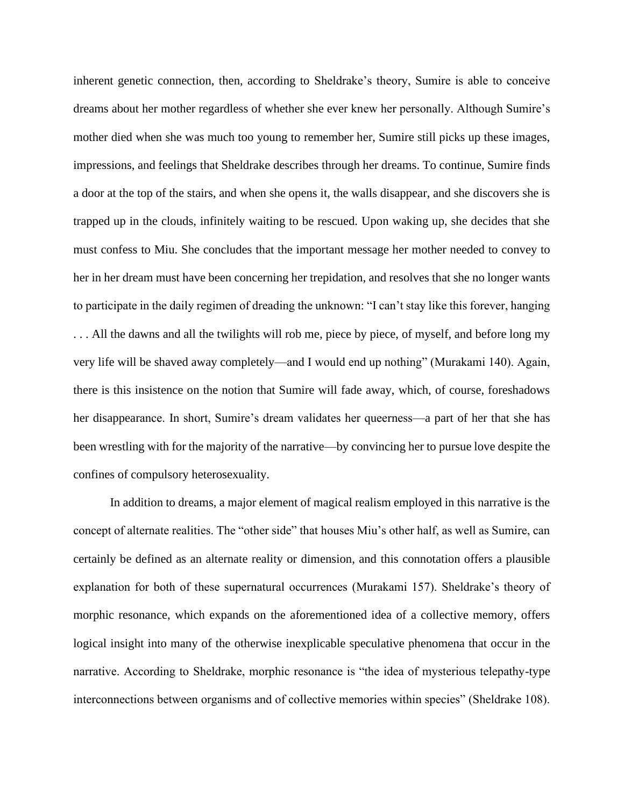inherent genetic connection, then, according to Sheldrake's theory, Sumire is able to conceive dreams about her mother regardless of whether she ever knew her personally. Although Sumire's mother died when she was much too young to remember her, Sumire still picks up these images, impressions, and feelings that Sheldrake describes through her dreams. To continue, Sumire finds a door at the top of the stairs, and when she opens it, the walls disappear, and she discovers she is trapped up in the clouds, infinitely waiting to be rescued. Upon waking up, she decides that she must confess to Miu. She concludes that the important message her mother needed to convey to her in her dream must have been concerning her trepidation, and resolves that she no longer wants to participate in the daily regimen of dreading the unknown: "I can't stay like this forever, hanging . . . All the dawns and all the twilights will rob me, piece by piece, of myself, and before long my very life will be shaved away completely—and I would end up nothing" (Murakami 140). Again, there is this insistence on the notion that Sumire will fade away, which, of course, foreshadows her disappearance. In short, Sumire's dream validates her queerness—a part of her that she has been wrestling with for the majority of the narrative—by convincing her to pursue love despite the confines of compulsory heterosexuality.

In addition to dreams, a major element of magical realism employed in this narrative is the concept of alternate realities. The "other side" that houses Miu's other half, as well as Sumire, can certainly be defined as an alternate reality or dimension, and this connotation offers a plausible explanation for both of these supernatural occurrences (Murakami 157). Sheldrake's theory of morphic resonance, which expands on the aforementioned idea of a collective memory, offers logical insight into many of the otherwise inexplicable speculative phenomena that occur in the narrative. According to Sheldrake, morphic resonance is "the idea of mysterious telepathy-type interconnections between organisms and of collective memories within species" (Sheldrake 108).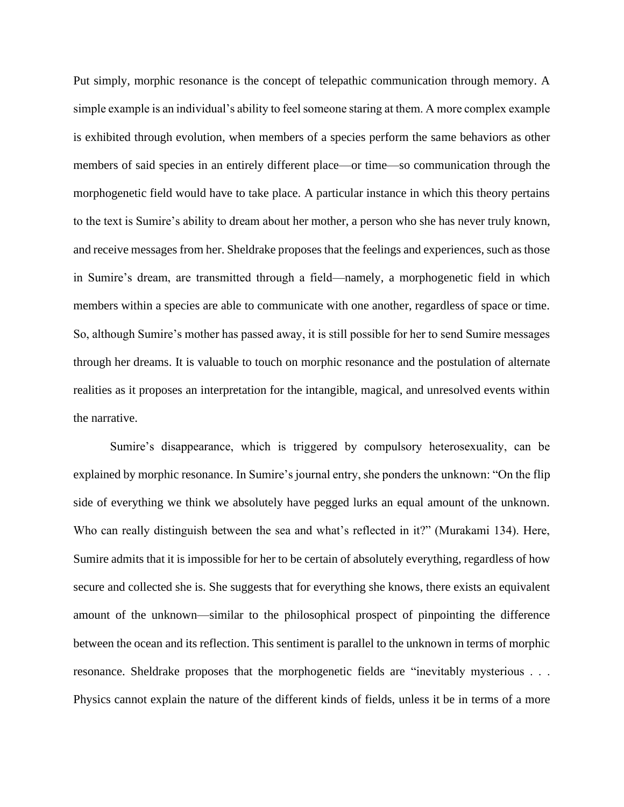Put simply, morphic resonance is the concept of telepathic communication through memory. A simple example is an individual's ability to feel someone staring at them. A more complex example is exhibited through evolution, when members of a species perform the same behaviors as other members of said species in an entirely different place—or time—so communication through the morphogenetic field would have to take place. A particular instance in which this theory pertains to the text is Sumire's ability to dream about her mother, a person who she has never truly known, and receive messages from her. Sheldrake proposes that the feelings and experiences, such as those in Sumire's dream, are transmitted through a field—namely, a morphogenetic field in which members within a species are able to communicate with one another, regardless of space or time. So, although Sumire's mother has passed away, it is still possible for her to send Sumire messages through her dreams. It is valuable to touch on morphic resonance and the postulation of alternate realities as it proposes an interpretation for the intangible, magical, and unresolved events within the narrative.

Sumire's disappearance, which is triggered by compulsory heterosexuality, can be explained by morphic resonance. In Sumire's journal entry, she ponders the unknown: "On the flip side of everything we think we absolutely have pegged lurks an equal amount of the unknown. Who can really distinguish between the sea and what's reflected in it?" (Murakami 134). Here, Sumire admits that it is impossible for her to be certain of absolutely everything, regardless of how secure and collected she is. She suggests that for everything she knows, there exists an equivalent amount of the unknown—similar to the philosophical prospect of pinpointing the difference between the ocean and its reflection. This sentiment is parallel to the unknown in terms of morphic resonance. Sheldrake proposes that the morphogenetic fields are "inevitably mysterious . . . Physics cannot explain the nature of the different kinds of fields, unless it be in terms of a more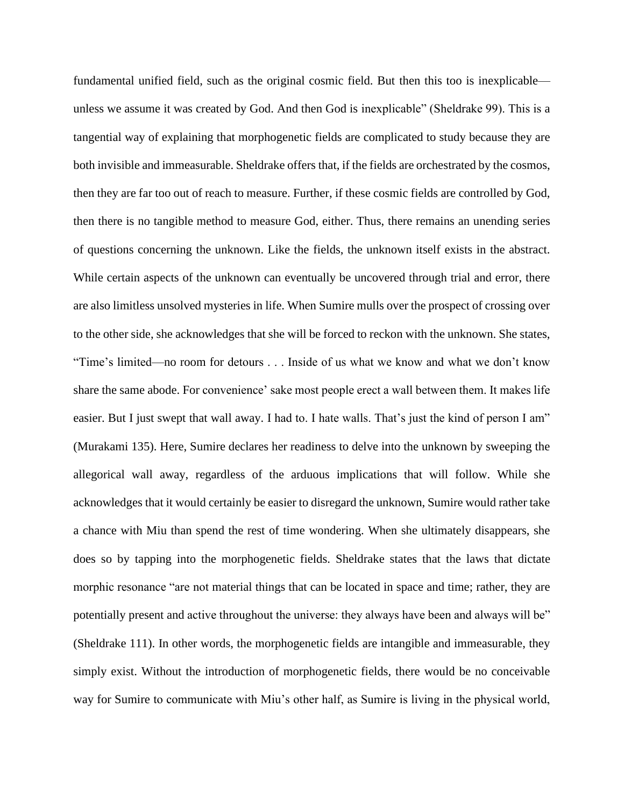fundamental unified field, such as the original cosmic field. But then this too is inexplicable unless we assume it was created by God. And then God is inexplicable" (Sheldrake 99). This is a tangential way of explaining that morphogenetic fields are complicated to study because they are both invisible and immeasurable. Sheldrake offers that, if the fields are orchestrated by the cosmos, then they are far too out of reach to measure. Further, if these cosmic fields are controlled by God, then there is no tangible method to measure God, either. Thus, there remains an unending series of questions concerning the unknown. Like the fields, the unknown itself exists in the abstract. While certain aspects of the unknown can eventually be uncovered through trial and error, there are also limitless unsolved mysteries in life. When Sumire mulls over the prospect of crossing over to the other side, she acknowledges that she will be forced to reckon with the unknown. She states, "Time's limited—no room for detours . . . Inside of us what we know and what we don't know share the same abode. For convenience' sake most people erect a wall between them. It makes life easier. But I just swept that wall away. I had to. I hate walls. That's just the kind of person I am" (Murakami 135). Here, Sumire declares her readiness to delve into the unknown by sweeping the allegorical wall away, regardless of the arduous implications that will follow. While she acknowledges that it would certainly be easier to disregard the unknown, Sumire would rather take a chance with Miu than spend the rest of time wondering. When she ultimately disappears, she does so by tapping into the morphogenetic fields. Sheldrake states that the laws that dictate morphic resonance "are not material things that can be located in space and time; rather, they are potentially present and active throughout the universe: they always have been and always will be" (Sheldrake 111). In other words, the morphogenetic fields are intangible and immeasurable, they simply exist. Without the introduction of morphogenetic fields, there would be no conceivable way for Sumire to communicate with Miu's other half, as Sumire is living in the physical world,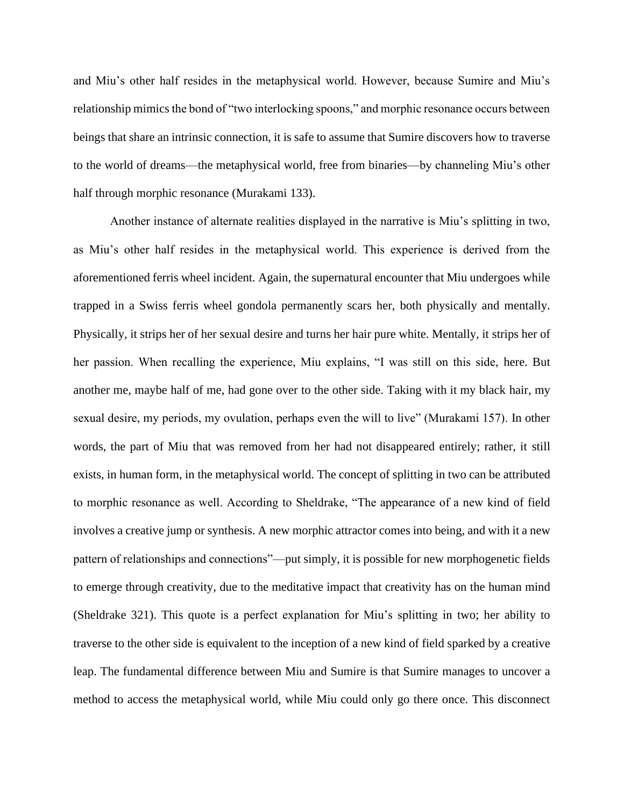and Miu's other half resides in the metaphysical world. However, because Sumire and Miu's relationship mimics the bond of "two interlocking spoons," and morphic resonance occurs between beings that share an intrinsic connection, it is safe to assume that Sumire discovers how to traverse to the world of dreams—the metaphysical world, free from binaries—by channeling Miu's other half through morphic resonance (Murakami 133).

Another instance of alternate realities displayed in the narrative is Miu's splitting in two, as Miu's other half resides in the metaphysical world. This experience is derived from the aforementioned ferris wheel incident. Again, the supernatural encounter that Miu undergoes while trapped in a Swiss ferris wheel gondola permanently scars her, both physically and mentally. Physically, it strips her of her sexual desire and turns her hair pure white. Mentally, it strips her of her passion. When recalling the experience, Miu explains, "I was still on this side, here. But another me, maybe half of me, had gone over to the other side. Taking with it my black hair, my sexual desire, my periods, my ovulation, perhaps even the will to live" (Murakami 157). In other words, the part of Miu that was removed from her had not disappeared entirely; rather, it still exists, in human form, in the metaphysical world. The concept of splitting in two can be attributed to morphic resonance as well. According to Sheldrake, "The appearance of a new kind of field involves a creative jump or synthesis. A new morphic attractor comes into being, and with it a new pattern of relationships and connections"—put simply, it is possible for new morphogenetic fields to emerge through creativity, due to the meditative impact that creativity has on the human mind (Sheldrake 321). This quote is a perfect explanation for Miu's splitting in two; her ability to traverse to the other side is equivalent to the inception of a new kind of field sparked by a creative leap. The fundamental difference between Miu and Sumire is that Sumire manages to uncover a method to access the metaphysical world, while Miu could only go there once. This disconnect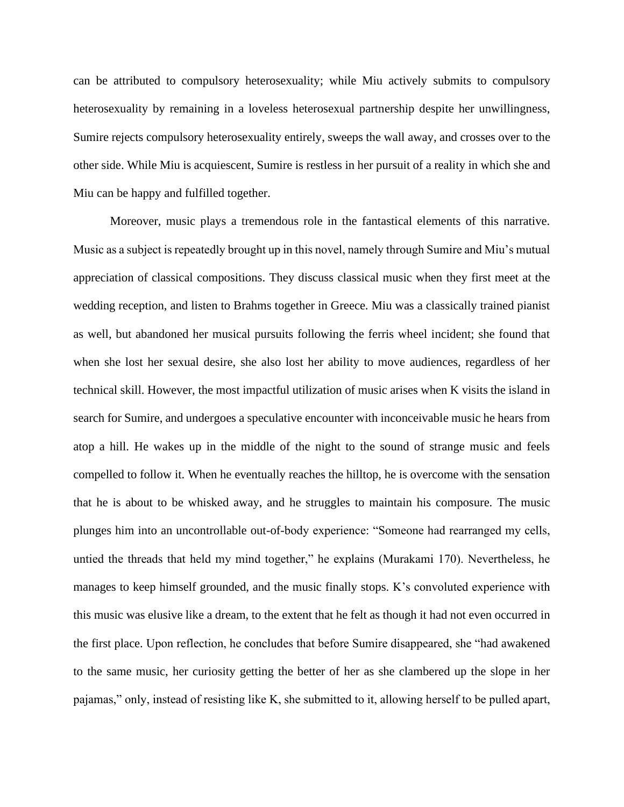can be attributed to compulsory heterosexuality; while Miu actively submits to compulsory heterosexuality by remaining in a loveless heterosexual partnership despite her unwillingness, Sumire rejects compulsory heterosexuality entirely, sweeps the wall away, and crosses over to the other side. While Miu is acquiescent, Sumire is restless in her pursuit of a reality in which she and Miu can be happy and fulfilled together.

Moreover, music plays a tremendous role in the fantastical elements of this narrative. Music as a subject is repeatedly brought up in this novel, namely through Sumire and Miu's mutual appreciation of classical compositions. They discuss classical music when they first meet at the wedding reception, and listen to Brahms together in Greece. Miu was a classically trained pianist as well, but abandoned her musical pursuits following the ferris wheel incident; she found that when she lost her sexual desire, she also lost her ability to move audiences, regardless of her technical skill. However, the most impactful utilization of music arises when K visits the island in search for Sumire, and undergoes a speculative encounter with inconceivable music he hears from atop a hill. He wakes up in the middle of the night to the sound of strange music and feels compelled to follow it. When he eventually reaches the hilltop, he is overcome with the sensation that he is about to be whisked away, and he struggles to maintain his composure. The music plunges him into an uncontrollable out-of-body experience: "Someone had rearranged my cells, untied the threads that held my mind together," he explains (Murakami 170). Nevertheless, he manages to keep himself grounded, and the music finally stops. K's convoluted experience with this music was elusive like a dream, to the extent that he felt as though it had not even occurred in the first place. Upon reflection, he concludes that before Sumire disappeared, she "had awakened to the same music, her curiosity getting the better of her as she clambered up the slope in her pajamas," only, instead of resisting like K, she submitted to it, allowing herself to be pulled apart,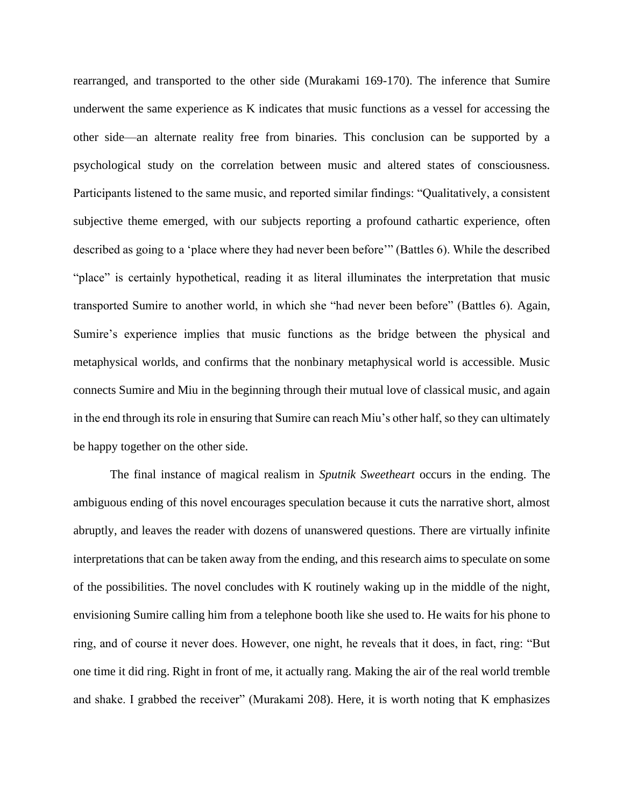rearranged, and transported to the other side (Murakami 169-170). The inference that Sumire underwent the same experience as K indicates that music functions as a vessel for accessing the other side—an alternate reality free from binaries. This conclusion can be supported by a psychological study on the correlation between music and altered states of consciousness. Participants listened to the same music, and reported similar findings: "Qualitatively, a consistent subjective theme emerged, with our subjects reporting a profound cathartic experience, often described as going to a 'place where they had never been before'" (Battles 6). While the described "place" is certainly hypothetical, reading it as literal illuminates the interpretation that music transported Sumire to another world, in which she "had never been before" (Battles 6). Again, Sumire's experience implies that music functions as the bridge between the physical and metaphysical worlds, and confirms that the nonbinary metaphysical world is accessible. Music connects Sumire and Miu in the beginning through their mutual love of classical music, and again in the end through its role in ensuring that Sumire can reach Miu's other half, so they can ultimately be happy together on the other side.

The final instance of magical realism in *Sputnik Sweetheart* occurs in the ending. The ambiguous ending of this novel encourages speculation because it cuts the narrative short, almost abruptly, and leaves the reader with dozens of unanswered questions. There are virtually infinite interpretations that can be taken away from the ending, and this research aims to speculate on some of the possibilities. The novel concludes with K routinely waking up in the middle of the night, envisioning Sumire calling him from a telephone booth like she used to. He waits for his phone to ring, and of course it never does. However, one night, he reveals that it does, in fact, ring: "But one time it did ring. Right in front of me, it actually rang. Making the air of the real world tremble and shake. I grabbed the receiver" (Murakami 208). Here, it is worth noting that K emphasizes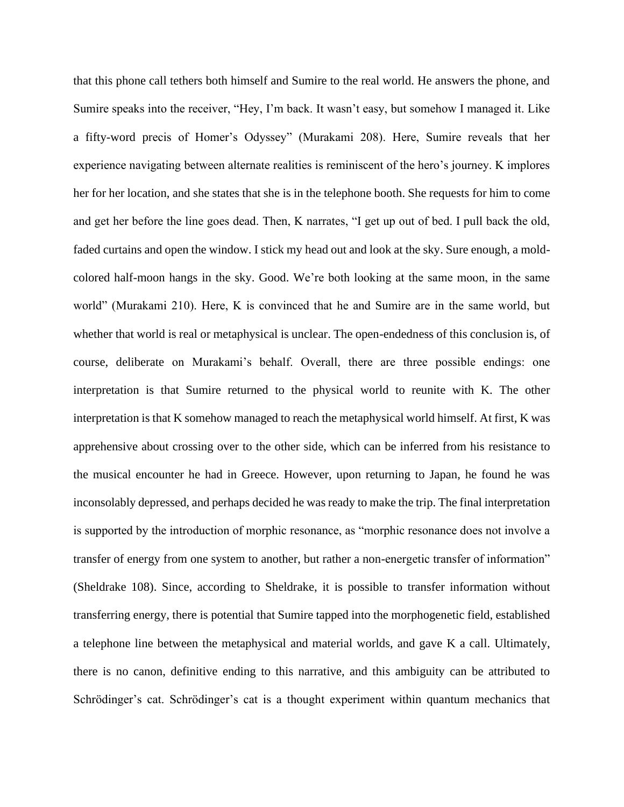that this phone call tethers both himself and Sumire to the real world. He answers the phone, and Sumire speaks into the receiver, "Hey, I'm back. It wasn't easy, but somehow I managed it. Like a fifty-word precis of Homer's Odyssey" (Murakami 208). Here, Sumire reveals that her experience navigating between alternate realities is reminiscent of the hero's journey. K implores her for her location, and she states that she is in the telephone booth. She requests for him to come and get her before the line goes dead. Then, K narrates, "I get up out of bed. I pull back the old, faded curtains and open the window. I stick my head out and look at the sky. Sure enough, a moldcolored half-moon hangs in the sky. Good. We're both looking at the same moon, in the same world" (Murakami 210). Here, K is convinced that he and Sumire are in the same world, but whether that world is real or metaphysical is unclear. The open-endedness of this conclusion is, of course, deliberate on Murakami's behalf. Overall, there are three possible endings: one interpretation is that Sumire returned to the physical world to reunite with K. The other interpretation is that K somehow managed to reach the metaphysical world himself. At first, K was apprehensive about crossing over to the other side, which can be inferred from his resistance to the musical encounter he had in Greece. However, upon returning to Japan, he found he was inconsolably depressed, and perhaps decided he was ready to make the trip. The final interpretation is supported by the introduction of morphic resonance, as "morphic resonance does not involve a transfer of energy from one system to another, but rather a non-energetic transfer of information" (Sheldrake 108). Since, according to Sheldrake, it is possible to transfer information without transferring energy, there is potential that Sumire tapped into the morphogenetic field, established a telephone line between the metaphysical and material worlds, and gave K a call. Ultimately, there is no canon, definitive ending to this narrative, and this ambiguity can be attributed to Schrödinger's cat. Schrödinger's cat is a thought experiment within quantum mechanics that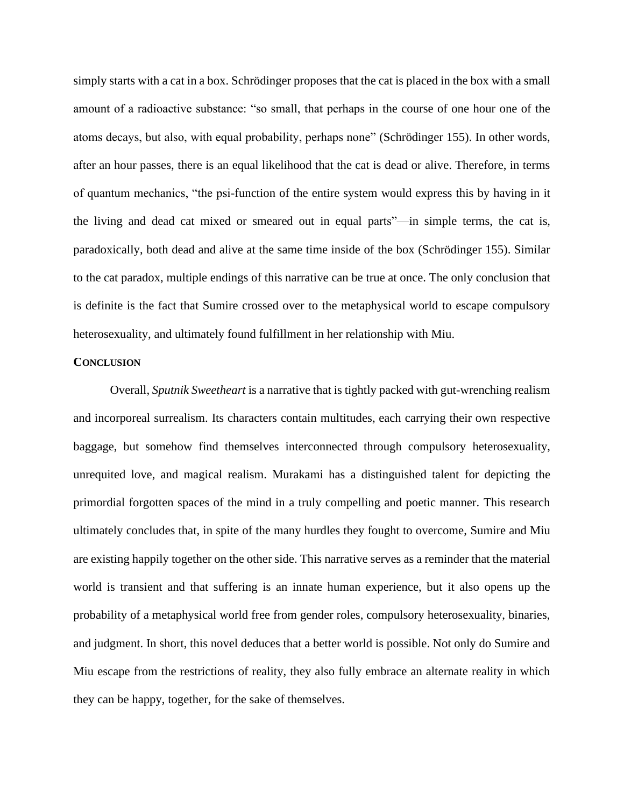simply starts with a cat in a box. Schrödinger proposes that the cat is placed in the box with a small amount of a radioactive substance: "so small, that perhaps in the course of one hour one of the atoms decays, but also, with equal probability, perhaps none" (Schrödinger 155). In other words, after an hour passes, there is an equal likelihood that the cat is dead or alive. Therefore, in terms of quantum mechanics, "the psi-function of the entire system would express this by having in it the living and dead cat mixed or smeared out in equal parts"—in simple terms, the cat is, paradoxically, both dead and alive at the same time inside of the box (Schrödinger 155). Similar to the cat paradox, multiple endings of this narrative can be true at once. The only conclusion that is definite is the fact that Sumire crossed over to the metaphysical world to escape compulsory heterosexuality, and ultimately found fulfillment in her relationship with Miu.

## **CONCLUSION**

Overall, *Sputnik Sweetheart* is a narrative that is tightly packed with gut-wrenching realism and incorporeal surrealism. Its characters contain multitudes, each carrying their own respective baggage, but somehow find themselves interconnected through compulsory heterosexuality, unrequited love, and magical realism. Murakami has a distinguished talent for depicting the primordial forgotten spaces of the mind in a truly compelling and poetic manner. This research ultimately concludes that, in spite of the many hurdles they fought to overcome, Sumire and Miu are existing happily together on the other side. This narrative serves as a reminder that the material world is transient and that suffering is an innate human experience, but it also opens up the probability of a metaphysical world free from gender roles, compulsory heterosexuality, binaries, and judgment. In short, this novel deduces that a better world is possible. Not only do Sumire and Miu escape from the restrictions of reality, they also fully embrace an alternate reality in which they can be happy, together, for the sake of themselves.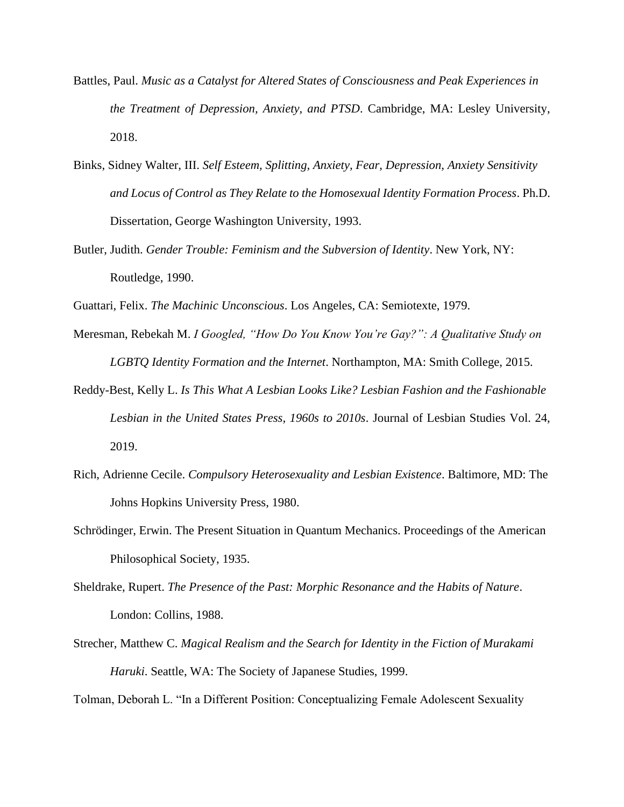- Battles, Paul. *Music as a Catalyst for Altered States of Consciousness and Peak Experiences in the Treatment of Depression, Anxiety, and PTSD*. Cambridge, MA: Lesley University, 2018.
- Binks, Sidney Walter, III. *Self Esteem, Splitting, Anxiety, Fear, Depression, Anxiety Sensitivity and Locus of Control as They Relate to the Homosexual Identity Formation Process*. Ph.D. Dissertation, George Washington University, 1993.
- Butler, Judith. *Gender Trouble: Feminism and the Subversion of Identity*. New York, NY: Routledge, 1990.
- Guattari, Felix. *The Machinic Unconscious*. Los Angeles, CA: Semiotexte, 1979.
- Meresman, Rebekah M. *I Googled, "How Do You Know You're Gay?": A Qualitative Study on LGBTQ Identity Formation and the Internet*. Northampton, MA: Smith College, 2015.
- Reddy-Best, Kelly L. *Is This What A Lesbian Looks Like? Lesbian Fashion and the Fashionable Lesbian in the United States Press, 1960s to 2010s*. Journal of Lesbian Studies Vol. 24, 2019.
- Rich, Adrienne Cecile. *Compulsory Heterosexuality and Lesbian Existence*. Baltimore, MD: The Johns Hopkins University Press, 1980.
- Schrödinger, Erwin. The Present Situation in Quantum Mechanics. Proceedings of the American Philosophical Society, 1935.
- Sheldrake, Rupert. *The Presence of the Past: Morphic Resonance and the Habits of Nature*. London: Collins, 1988.
- Strecher, Matthew C. *Magical Realism and the Search for Identity in the Fiction of Murakami Haruki*. Seattle, WA: The Society of Japanese Studies, 1999.

Tolman, Deborah L. "In a Different Position: Conceptualizing Female Adolescent Sexuality